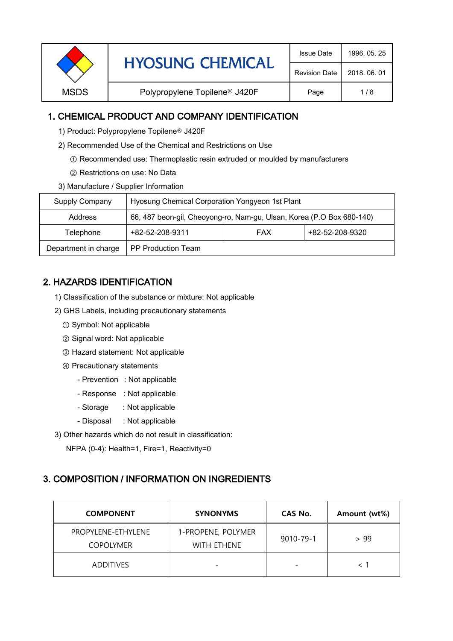| <b>Revision Date</b><br>2018, 06, 01<br>Polypropylene Topilene <sup>®</sup> J420F<br><b>MSDS</b><br>Page<br>1/8 | <b>HYOSUNG CHEMICAL</b> |  | 1996, 05, 25 |
|-----------------------------------------------------------------------------------------------------------------|-------------------------|--|--------------|
|                                                                                                                 |                         |  |              |
|                                                                                                                 |                         |  |              |

### 1. CHEMICAL PRODUCT AND COMPANY IDENTIFICATION

- 1) Product: Polypropylene Topilene<sup>®</sup> J420F
- 2) Recommended Use of the Chemical and Restrictions on Use
	- ① Recommended use: Thermoplastic resin extruded or moulded by manufacturers
	- ② Restrictions on use: No Data
- 3) Manufacture / Supplier Information

| Supply Company       | Hyosung Chemical Corporation Yongyeon 1st Plant                       |            |                 |  |
|----------------------|-----------------------------------------------------------------------|------------|-----------------|--|
| Address              | 66, 487 beon-gil, Cheoyong-ro, Nam-gu, Ulsan, Korea (P.O Box 680-140) |            |                 |  |
| Telephone            | +82-52-208-9311                                                       | <b>FAX</b> | +82-52-208-9320 |  |
| Department in charge | <b>PP Production Team</b>                                             |            |                 |  |

# 2. HAZARDS IDENTIFICATION

- 1) Classification of the substance or mixture: Not applicable
- 2) GHS Labels, including precautionary statements
	- ① Symbol: Not applicable
	- ② Signal word: Not applicable
	- ③ Hazard statement: Not applicable
	- ④ Precautionary statements
		- Prevention : Not applicable
		- Response : Not applicable
		- Storage : Not applicable
		- Disposal : Not applicable
- 3) Other hazards which do not result in classification:

NFPA (0-4): Health=1, Fire=1, Reactivity=0

#### 3. COMPOSITION / INFORMATION ON INGREDIENTS

| <b>COMPONENT</b>                       | <b>SYNONYMS</b>                          | CAS No.                  | Amount (wt%) |
|----------------------------------------|------------------------------------------|--------------------------|--------------|
| PROPYLENE-ETHYLENE<br><b>COPOLYMER</b> | 1-PROPENE, POLYMER<br><b>WITH ETHENE</b> | 9010-79-1                | > 99         |
| <b>ADDITIVES</b>                       |                                          | $\overline{\phantom{0}}$ |              |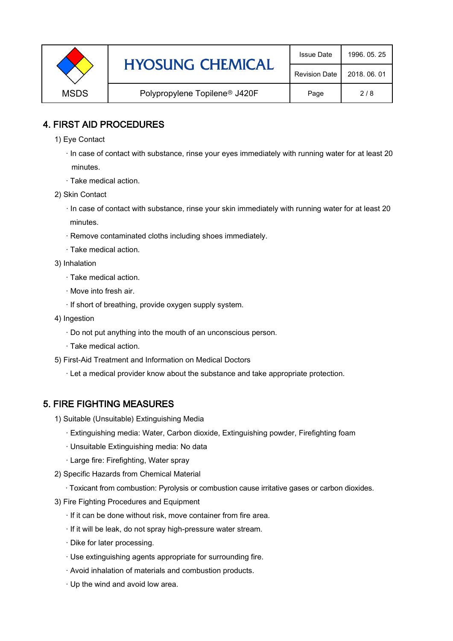|             | <b>HYOSUNG CHEMICAL</b>                   | <b>Issue Date</b>    | 1996, 05, 25 |
|-------------|-------------------------------------------|----------------------|--------------|
|             |                                           | <b>Revision Date</b> | 2018, 06, 01 |
| <b>MSDS</b> | Polypropylene Topilene <sup>®</sup> J420F | Page                 | 2/8          |

### 4. FIRST AID PROCEDURES

1) Eye Contact

 · In case of contact with substance, rinse your eyes immediately with running water for at least 20 minutes.

- · Take medical action.
- 2) Skin Contact
	- · In case of contact with substance, rinse your skin immediately with running water for at least 20 minutes.
	- · Remove contaminated cloths including shoes immediately.
	- · Take medical action.
- 3) Inhalation
	- · Take medical action.
	- · Move into fresh air.
	- · If short of breathing, provide oxygen supply system.
- 4) Ingestion
	- · Do not put anything into the mouth of an unconscious person.
	- · Take medical action.
- 5) First-Aid Treatment and Information on Medical Doctors
	- · Let a medical provider know about the substance and take appropriate protection.

#### 5. FIRE FIGHTING MEASURES

- 1) Suitable (Unsuitable) Extinguishing Media
	- · Extinguishing media: Water, Carbon dioxide, Extinguishing powder, Firefighting foam
	- · Unsuitable Extinguishing media: No data
	- · Large fire: Firefighting, Water spray
- 2) Specific Hazards from Chemical Material
	- · Toxicant from combustion: Pyrolysis or combustion cause irritative gases or carbon dioxides.
- 3) Fire Fighting Procedures and Equipment
	- · If it can be done without risk, move container from fire area.
	- · If it will be leak, do not spray high-pressure water stream.
	- · Dike for later processing.
	- · Use extinguishing agents appropriate for surrounding fire.
	- · Avoid inhalation of materials and combustion products.
	- · Up the wind and avoid low area.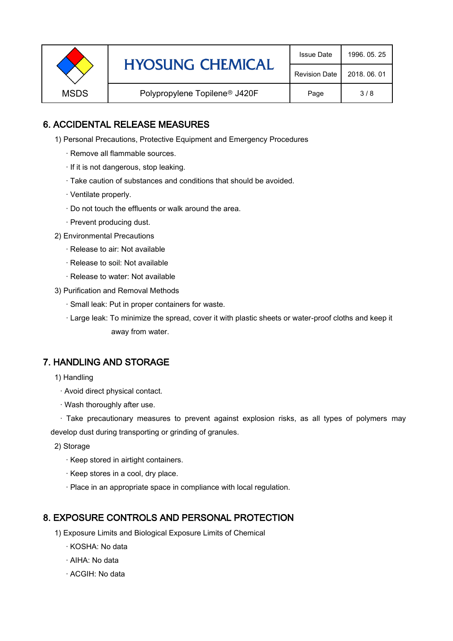|             | <b>HYOSUNG CHEMICAL</b>                   | <b>Issue Date</b>    | 1996, 05, 25 |
|-------------|-------------------------------------------|----------------------|--------------|
|             |                                           | <b>Revision Date</b> | 2018, 06, 01 |
| <b>MSDS</b> | Polypropylene Topilene <sup>®</sup> J420F | Page                 | 3/8          |

### 6. ACCIDENTAL RELEASE MEASURES

- 1) Personal Precautions, Protective Equipment and Emergency Procedures
	- · Remove all flammable sources.
	- · If it is not dangerous, stop leaking.
	- · Take caution of substances and conditions that should be avoided.
	- · Ventilate properly.
	- · Do not touch the effluents or walk around the area.
	- · Prevent producing dust.
- 2) Environmental Precautions
	- · Release to air: Not available
	- · Release to soil: Not available
	- · Release to water: Not available
- 3) Purification and Removal Methods
	- · Small leak: Put in proper containers for waste.
	- ,· Large leak: To minimize the spread, cover it with plastic sheets or water-proof cloths and keep it away from water.

#### 7. HANDLING AND STORAGE

- 1) Handling
	- · Avoid direct physical contact.
	- · Wash thoroughly after use.

· Take precautionary measures to prevent against explosion risks, as all types of polymers may develop dust during transporting or grinding of granules.

- 2) Storage
	- · Keep stored in airtight containers.
	- · Keep stores in a cool, dry place.
	- · Place in an appropriate space in compliance with local regulation.

#### 8. EXPOSURE CONTROLS AND PERSONAL PROTECTION

- 1) Exposure Limits and Biological Exposure Limits of Chemical
	- · KOSHA: No data
	- · AIHA: No data
	- · ACGIH: No data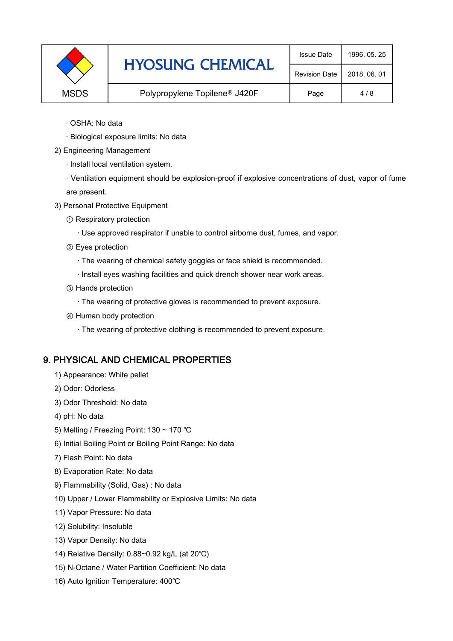|             | <b>HYOSUNG CHEMICAL</b>                   | <b>Issue Date</b> | 1996, 05, 25 |
|-------------|-------------------------------------------|-------------------|--------------|
|             | <b>Revision Date</b>                      | 2018, 06, 01      |              |
| <b>MSDS</b> | Polypropylene Topilene <sup>®</sup> J420F | Page              | 4/8          |

- · OSHA: No data
- · Biological exposure limits: No data
- 2) Engineering Management
	- · Install local ventilation system.

· Ventilation equipment should be explosion-proof if explosive concentrations of dust, vapor of fume are present.

- 3) Personal Protective Equipment
	- ① Respiratory protection
		- · Use approved respirator if unable to control airborne dust, fumes, and vapor.
	- ② Eyes protection
		- · The wearing of chemical safety goggles or face shield is recommended.
		- · Install eyes washing facilities and quick drench shower near work areas.
	- ③ Hands protection
		- · The wearing of protective gloves is recommended to prevent exposure.
	- ④ Human body protection
		- · The wearing of protective clothing is recommended to prevent exposure.

## 9. PHYSICAL AND CHEMICAL PROPERTIES

- 1) Appearance: White pellet
- 2) Odor: Odorless
- 3) Odor Threshold: No data
- 4) pH: No data
- 5) Melting / Freezing Point: 130 ~ 170 ℃
- 6) Initial Boiling Point or Boiling Point Range: No data
- 7) Flash Point: No data
- 8) Evaporation Rate: No data
- 9) Flammability (Solid, Gas) : No data
- 10) Upper / Lower Flammability or Explosive Limits: No data
- 11) Vapor Pressure: No data
- 12) Solubility: Insoluble
- 13) Vapor Density: No data
- 14) Relative Density: 0.88~0.92 kg/L (at 20℃)
- 15) N-Octane / Water Partition Coefficient: No data
- 16) Auto Ignition Temperature: 400℃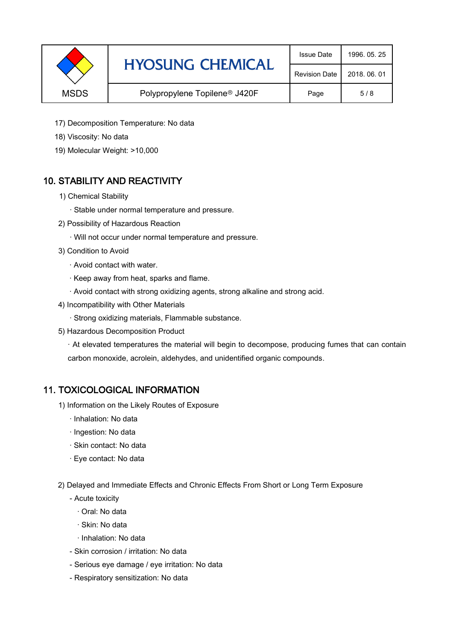|             | <b>HYOSUNG CHEMICAL</b>                   | <b>Issue Date</b>    | 1996, 05, 25 |
|-------------|-------------------------------------------|----------------------|--------------|
|             |                                           | <b>Revision Date</b> | 2018, 06, 01 |
| <b>MSDS</b> | Polypropylene Topilene <sup>®</sup> J420F | Page                 | 5/8          |

- 17) Decomposition Temperature: No data
- 18) Viscosity: No data
- 19) Molecular Weight: >10,000

## 10. STABILITY AND REACTIVITY

- 1) Chemical Stability
	- · Stable under normal temperature and pressure.
- 2) Possibility of Hazardous Reaction
	- · Will not occur under normal temperature and pressure.
- 3) Condition to Avoid
	- · Avoid contact with water.
	- · Keep away from heat, sparks and flame.
	- · Avoid contact with strong oxidizing agents, strong alkaline and strong acid.
- 4) Incompatibility with Other Materials
	- · Strong oxidizing materials, Flammable substance.
- 5) Hazardous Decomposition Product

· At elevated temperatures the material will begin to decompose, producing fumes that can contain carbon monoxide, acrolein, aldehydes, and unidentified organic compounds.

#### 11. TOXICOLOGICAL INFORMATION

- 1) Information on the Likely Routes of Exposure
	- · Inhalation: No data
	- · Ingestion: No data
	- · Skin contact: No data
	- · Eye contact: No data
- 2) Delayed and Immediate Effects and Chronic Effects From Short or Long Term Exposure
	- Acute toxicity
		- · Oral: No data
		- · Skin: No data
		- · Inhalation: No data
	- Skin corrosion / irritation: No data
	- Serious eye damage / eye irritation: No data
	- Respiratory sensitization: No data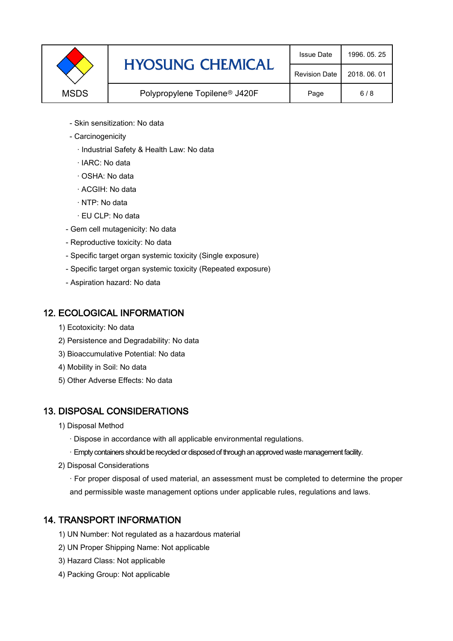|             | <b>HYOSUNG CHEMICAL</b>                   | <b>Issue Date</b>    | 1996, 05, 25 |
|-------------|-------------------------------------------|----------------------|--------------|
|             |                                           | <b>Revision Date</b> | 2018, 06, 01 |
| <b>MSDS</b> | Polypropylene Topilene <sup>®</sup> J420F | Page                 | 6/8          |

- Skin sensitization: No data
- Carcinogenicity
	- · Industrial Safety & Health Law: No data
	- · IARC: No data
	- · OSHA: No data
	- · ACGIH: No data
	- · NTP: No data
	- · EU CLP: No data
- Gem cell mutagenicity: No data
- Reproductive toxicity: No data
- Specific target organ systemic toxicity (Single exposure)
- Specific target organ systemic toxicity (Repeated exposure)
- Aspiration hazard: No data

#### 12. ECOLOGICAL INFORMATION

- 1) Ecotoxicity: No data
- 2) Persistence and Degradability: No data
- 3) Bioaccumulative Potential: No data
- 4) Mobility in Soil: No data
- 5) Other Adverse Effects: No data

## 13. DISPOSAL CONSIDERATIONS

- 1) Disposal Method
	- · Dispose in accordance with all applicable environmental regulations.
	- · Empty containers should be recycled or disposed of through an approved waste management facility.
- 2) Disposal Considerations
	- · For proper disposal of used material, an assessment must be completed to determine the proper and permissible waste management options under applicable rules, regulations and laws.

## 14. TRANSPORT INFORMATION

- 1) UN Number: Not regulated as a hazardous material
- 2) UN Proper Shipping Name: Not applicable
- 3) Hazard Class: Not applicable
- 4) Packing Group: Not applicable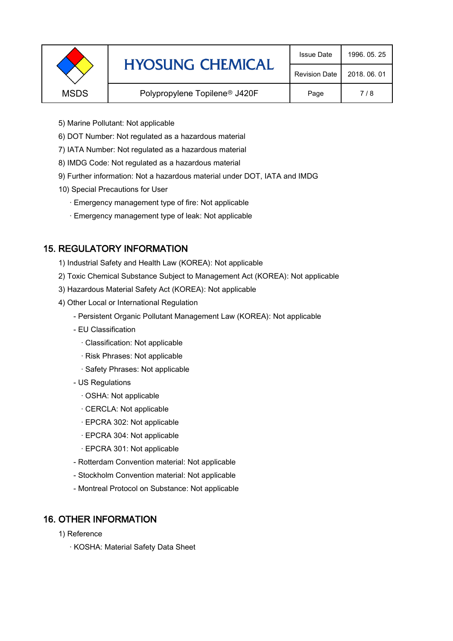|             | <b>HYOSUNG CHEMICAL</b>                   | <b>Issue Date</b>    | 1996, 05, 25 |
|-------------|-------------------------------------------|----------------------|--------------|
|             |                                           | <b>Revision Date</b> | 2018, 06, 01 |
| <b>MSDS</b> | Polypropylene Topilene <sup>®</sup> J420F | Page                 | 7/8          |
|             |                                           |                      |              |

- 5) Marine Pollutant: Not applicable
- 6) DOT Number: Not regulated as a hazardous material
- 7) IATA Number: Not regulated as a hazardous material
- 8) IMDG Code: Not regulated as a hazardous material
- 9) Further information: Not a hazardous material under DOT, IATA and IMDG
- 10) Special Precautions for User
	- · Emergency management type of fire: Not applicable
	- · Emergency management type of leak: Not applicable

## 15. REGULATORY INFORMATION

- 1) Industrial Safety and Health Law (KOREA): Not applicable
- 2) Toxic Chemical Substance Subject to Management Act (KOREA): Not applicable
- 3) Hazardous Material Safety Act (KOREA): Not applicable
- 4) Other Local or International Regulation
	- Persistent Organic Pollutant Management Law (KOREA): Not applicable
	- EU Classification
		- · Classification: Not applicable
		- · Risk Phrases: Not applicable
		- · Safety Phrases: Not applicable
	- US Regulations
		- · OSHA: Not applicable
		- · CERCLA: Not applicable
		- · EPCRA 302: Not applicable
		- · EPCRA 304: Not applicable
		- · EPCRA 301: Not applicable
	- Rotterdam Convention material: Not applicable
	- Stockholm Convention material: Not applicable
	- Montreal Protocol on Substance: Not applicable

## 16. OTHER INFORMATION

- 1) Reference
	- · KOSHA: Material Safety Data Sheet